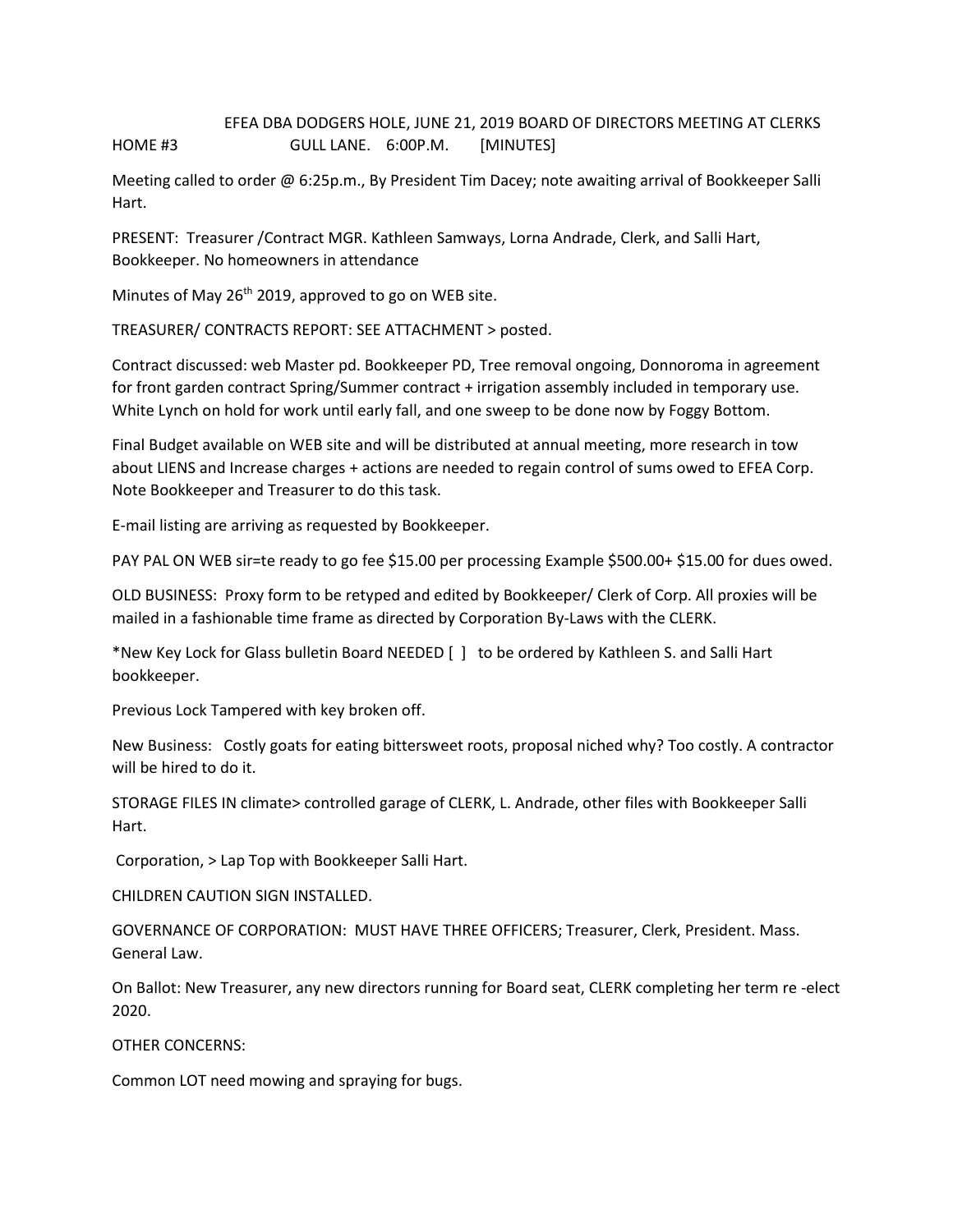## EFEA DBA DODGERS HOLE, JUNE 21, 2019 BOARD OF DIRECTORS MEETING AT CLERKS HOME #3 GULL LANE. 6:00P.M. [MINUTES]

Meeting called to order @ 6:25p.m., By President Tim Dacey; note awaiting arrival of Bookkeeper Salli Hart.

PRESENT: Treasurer /Contract MGR. Kathleen Samways, Lorna Andrade, Clerk, and Salli Hart, Bookkeeper. No homeowners in attendance

Minutes of May  $26<sup>th</sup>$  2019, approved to go on WEB site.

TREASURER/ CONTRACTS REPORT: SEE ATTACHMENT > posted.

Contract discussed: web Master pd. Bookkeeper PD, Tree removal ongoing, Donnoroma in agreement for front garden contract Spring/Summer contract + irrigation assembly included in temporary use. White Lynch on hold for work until early fall, and one sweep to be done now by Foggy Bottom.

Final Budget available on WEB site and will be distributed at annual meeting, more research in tow about LIENS and Increase charges + actions are needed to regain control of sums owed to EFEA Corp. Note Bookkeeper and Treasurer to do this task.

E-mail listing are arriving as requested by Bookkeeper.

PAY PAL ON WEB sir=te ready to go fee \$15.00 per processing Example \$500.00+ \$15.00 for dues owed.

OLD BUSINESS: Proxy form to be retyped and edited by Bookkeeper/ Clerk of Corp. All proxies will be mailed in a fashionable time frame as directed by Corporation By-Laws with the CLERK.

\*New Key Lock for Glass bulletin Board NEEDED [ ] to be ordered by Kathleen S. and Salli Hart bookkeeper.

Previous Lock Tampered with key broken off.

New Business: Costly goats for eating bittersweet roots, proposal niched why? Too costly. A contractor will be hired to do it.

STORAGE FILES IN climate> controlled garage of CLERK, L. Andrade, other files with Bookkeeper Salli Hart.

Corporation, > Lap Top with Bookkeeper Salli Hart.

CHILDREN CAUTION SIGN INSTALLED.

GOVERNANCE OF CORPORATION: MUST HAVE THREE OFFICERS; Treasurer, Clerk, President. Mass. General Law.

On Ballot: New Treasurer, any new directors running for Board seat, CLERK completing her term re -elect 2020.

OTHER CONCERNS:

Common LOT need mowing and spraying for bugs.